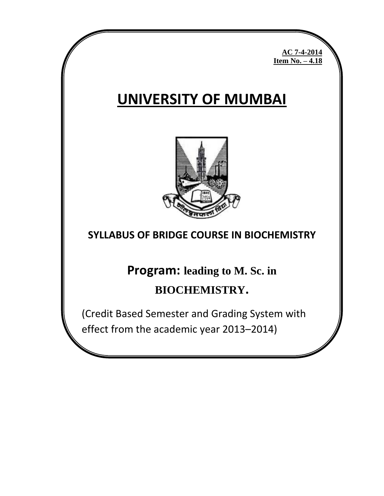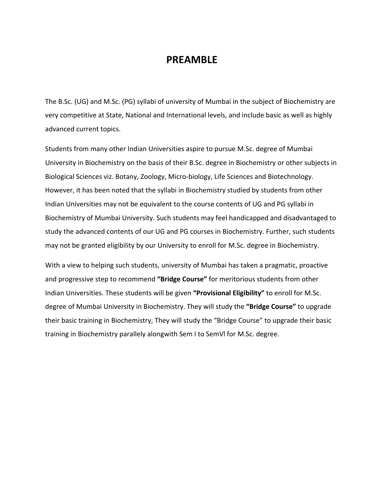## **PREAMBLE**

The B.Sc. (UG) and M.Sc. (PG) syllabi of university of Mumbai in the subject of Biochemistry are very competitive at State, National and International levels, and include basic as well as highly advanced current topics.

Students from many other Indian Universities aspire to pursue M.Sc. degree of Mumbai University in Biochemistry on the basis of their B.Sc. degree in Biochemistry or other subjects in Biological Sciences viz. Botany, Zoology, Micro-biology, Life Sciences and Biotechnology. However, it has been noted that the syllabi in Biochemistry studied by students from other Indian Universities may not be equivalent to the course contents of UG and PG syllabi in Biochemistry of Mumbai University. Such students may feel handicapped and disadvantaged to study the advanced contents of our UG and PG courses in Biochemistry. Further, such students may not be granted eligibility by our University to enroll for M.Sc. degree in Biochemistry.

With a view to helping such students, university of Mumbai has taken a pragmatic, proactive and progressive step to recommend **"Bridge Course"** for meritorious students from other Indian Universities. These students will be given **"Provisional Eligibility"** to enroll for M.Sc. degree of Mumbai University in Biochemistry. They will study the **"Bridge Course"** to upgrade their basic training in Biochemistry, They will study the "Bridge Course" to upgrade their basic training in Biochemistry parallely alongwith Sem I to SemVl for M.Sc. degree.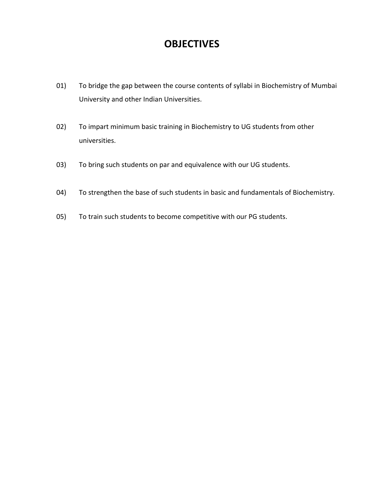# **OBJECTIVES**

- 01) To bridge the gap between the course contents of syllabi in Biochemistry of Mumbai University and other Indian Universities.
- 02) To impart minimum basic training in Biochemistry to UG students from other universities.
- 03) To bring such students on par and equivalence with our UG students.
- 04) To strengthen the base of such students in basic and fundamentals of Biochemistry.
- 05) To train such students to become competitive with our PG students.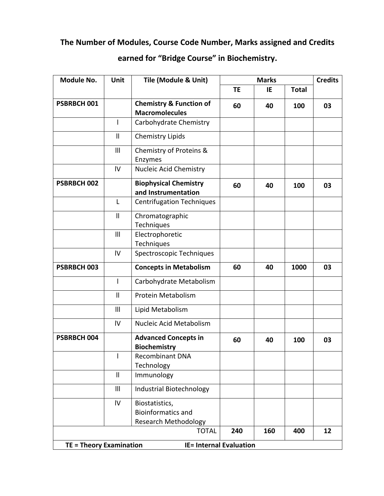# **The Number of Modules, Course Code Number, Marks assigned and Credits**

# **earned for "Bridge Course" in Biochemistry.**

| Module No.                     | Unit                     | Tile (Module & Unit)                                                       | <b>Marks</b> |     |              | <b>Credits</b> |
|--------------------------------|--------------------------|----------------------------------------------------------------------------|--------------|-----|--------------|----------------|
|                                |                          |                                                                            | <b>TE</b>    | IE  | <b>Total</b> |                |
| PSBRBCH 001                    |                          | <b>Chemistry &amp; Function of</b><br><b>Macromolecules</b>                | 60           | 40  | 100          | 03             |
|                                | $\mathsf{I}$             | Carbohydrate Chemistry                                                     |              |     |              |                |
|                                | $\mathbf{I}$             | <b>Chemistry Lipids</b>                                                    |              |     |              |                |
|                                | III                      | Chemistry of Proteins &<br>Enzymes                                         |              |     |              |                |
|                                | IV                       | Nucleic Acid Chemistry                                                     |              |     |              |                |
| PSBRBCH 002                    |                          | <b>Biophysical Chemistry</b><br>and Instrumentation                        | 60           | 40  | 100          | 03             |
|                                | L                        | <b>Centrifugation Techniques</b>                                           |              |     |              |                |
|                                | $\mathbf{I}$             | Chromatographic<br>Techniques                                              |              |     |              |                |
|                                | $\mathbf{III}$           | Electrophoretic<br>Techniques                                              |              |     |              |                |
|                                | IV                       | Spectroscopic Techniques                                                   |              |     |              |                |
| PSBRBCH 003                    |                          | <b>Concepts in Metabolism</b>                                              | 60           | 40  | 1000         | 03             |
|                                |                          | Carbohydrate Metabolism                                                    |              |     |              |                |
|                                | $\mathbf{I}$             | Protein Metabolism                                                         |              |     |              |                |
|                                | III                      | Lipid Metabolism                                                           |              |     |              |                |
|                                | IV                       | Nucleic Acid Metabolism                                                    |              |     |              |                |
| PSBRBCH 004                    |                          | <b>Advanced Concepts in</b><br><b>Biochemistry</b>                         | 60           | 40  | 100          | 03             |
|                                | $\overline{\phantom{a}}$ | <b>Recombinant DNA</b><br>Technology                                       |              |     |              |                |
|                                | $\mathbf{I}$             | Immunology                                                                 |              |     |              |                |
|                                | III                      | Industrial Biotechnology                                                   |              |     |              |                |
|                                | IV                       | Biostatistics,<br><b>Bioinformatics and</b><br><b>Research Methodology</b> |              |     |              |                |
|                                |                          | <b>TOTAL</b>                                                               | 240          | 160 | 400          | 12             |
| <b>TE = Theory Examination</b> |                          | <b>IE= Internal Evaluation</b>                                             |              |     |              |                |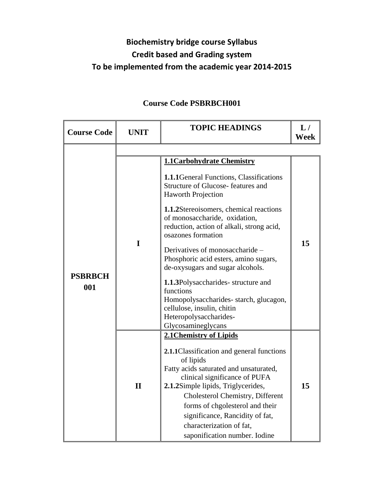# **Biochemistry bridge course Syllabus Credit based and Grading system To be implemented from the academic year 2014-2015**

| <b>Course Code</b>    | <b>UNIT</b>  | <b>TOPIC HEADINGS</b>                                                                                                                                                                                                                                                                                                                                                                                                                                                                                                                                                                         | L/<br>Week |
|-----------------------|--------------|-----------------------------------------------------------------------------------------------------------------------------------------------------------------------------------------------------------------------------------------------------------------------------------------------------------------------------------------------------------------------------------------------------------------------------------------------------------------------------------------------------------------------------------------------------------------------------------------------|------------|
|                       |              |                                                                                                                                                                                                                                                                                                                                                                                                                                                                                                                                                                                               |            |
| <b>PSBRBCH</b><br>001 | $\mathbf I$  | <b>1.1Carbohydrate Chemistry</b><br><b>1.1.1</b> General Functions, Classifications<br>Structure of Glucose-features and<br><b>Haworth Projection</b><br>1.1.2Stereoisomers, chemical reactions<br>of monosaccharide, oxidation,<br>reduction, action of alkali, strong acid,<br>osazones formation<br>Derivatives of monosaccharide -<br>Phosphoric acid esters, amino sugars,<br>de-oxysugars and sugar alcohols.<br>1.1.3Polysaccharides-structure and<br>functions<br>Homopolysaccharides-starch, glucagon,<br>cellulose, insulin, chitin<br>Heteropolysaccharides-<br>Glycosamineglycans | 15         |
|                       | $\mathbf{I}$ | 2.1 Chemistry of Lipids<br>2.1.1 Classification and general functions<br>of lipids<br>Fatty acids saturated and unsaturated,<br>clinical significance of PUFA<br>2.1.2Simple lipids, Triglycerides,<br>Cholesterol Chemistry, Different<br>forms of chgolesterol and their<br>significance, Rancidity of fat,<br>characterization of fat,<br>saponification number. Iodine                                                                                                                                                                                                                    | 15         |

# **Course Code PSBRBCH001**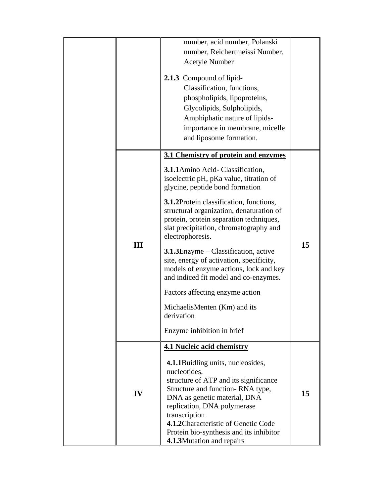|  |     | number, acid number, Polanski                                                                                                                                                                                                                                                                                                   |    |
|--|-----|---------------------------------------------------------------------------------------------------------------------------------------------------------------------------------------------------------------------------------------------------------------------------------------------------------------------------------|----|
|  |     | number, Reichertmeissi Number,                                                                                                                                                                                                                                                                                                  |    |
|  |     | <b>Acetyle Number</b>                                                                                                                                                                                                                                                                                                           |    |
|  |     | 2.1.3 Compound of lipid-                                                                                                                                                                                                                                                                                                        |    |
|  |     | Classification, functions,                                                                                                                                                                                                                                                                                                      |    |
|  |     | phospholipids, lipoproteins,                                                                                                                                                                                                                                                                                                    |    |
|  |     | Glycolipids, Sulpholipids,                                                                                                                                                                                                                                                                                                      |    |
|  |     | Amphiphatic nature of lipids-                                                                                                                                                                                                                                                                                                   |    |
|  |     | importance in membrane, micelle                                                                                                                                                                                                                                                                                                 |    |
|  |     | and liposome formation.                                                                                                                                                                                                                                                                                                         |    |
|  |     |                                                                                                                                                                                                                                                                                                                                 |    |
|  |     | 3.1 Chemistry of protein and enzymes                                                                                                                                                                                                                                                                                            |    |
|  |     | 3.1.1 Amino Acid- Classification,<br>isoelectric pH, pKa value, titration of<br>glycine, peptide bond formation                                                                                                                                                                                                                 |    |
|  |     | 3.1.2Protein classification, functions,<br>structural organization, denaturation of<br>protein, protein separation techniques,<br>slat precipitation, chromatography and<br>electrophoresis.                                                                                                                                    |    |
|  | III | 3.1.3Enzyme – Classification, active<br>site, energy of activation, specificity,<br>models of enzyme actions, lock and key<br>and indiced fit model and co-enzymes.                                                                                                                                                             | 15 |
|  |     | Factors affecting enzyme action                                                                                                                                                                                                                                                                                                 |    |
|  |     | MichaelisMenten (Km) and its<br>derivation                                                                                                                                                                                                                                                                                      |    |
|  |     | Enzyme inhibition in brief                                                                                                                                                                                                                                                                                                      |    |
|  |     | <b>4.1 Nucleic acid chemistry</b>                                                                                                                                                                                                                                                                                               |    |
|  | IV  | 4.1.1 Buidling units, nucleosides,<br>nucleotides,<br>structure of ATP and its significance<br>Structure and function-RNA type,<br>DNA as genetic material, DNA<br>replication, DNA polymerase<br>transcription<br>4.1.2 Characteristic of Genetic Code<br>Protein bio-synthesis and its inhibitor<br>4.1.3Mutation and repairs | 15 |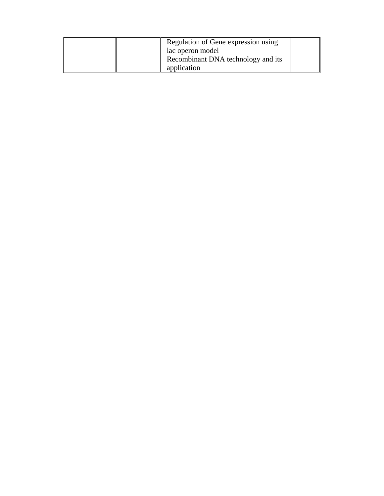|  | Regulation of Gene expression using<br>lac operon model |  |
|--|---------------------------------------------------------|--|
|  | Recombinant DNA technology and its                      |  |
|  | application                                             |  |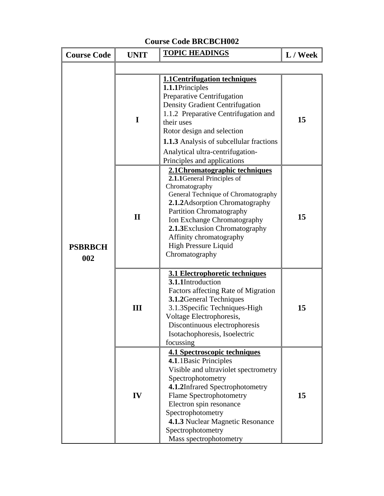| <b>Course Code</b>    | <b>UNIT</b>  | <b>TOPIC HEADINGS</b>                                                                                                                                                                                                                                                                                                                     | L / Week |
|-----------------------|--------------|-------------------------------------------------------------------------------------------------------------------------------------------------------------------------------------------------------------------------------------------------------------------------------------------------------------------------------------------|----------|
|                       |              |                                                                                                                                                                                                                                                                                                                                           |          |
|                       | I            | <b>1.1 Centrifugation techniques</b><br>1.1.1Principles<br>Preparative Centrifugation<br>Density Gradient Centrifugation<br>1.1.2 Preparative Centrifugation and<br>their uses<br>Rotor design and selection<br><b>1.1.3</b> Analysis of subcellular fractions<br>Analytical ultra-centrifugation-<br>Principles and applications         | 15       |
| <b>PSBRBCH</b><br>002 | $\mathbf{I}$ | 2.1 Chromatographic techniques<br>2.1.1 General Principles of<br>Chromatography<br>General Technique of Chromatography<br>2.1.2 Adsorption Chromatography<br><b>Partition Chromatography</b><br>Ion Exchange Chromatography<br>2.1.3 Exclusion Chromatography<br>Affinity chromatography<br><b>High Pressure Liquid</b><br>Chromatography | 15       |
|                       | Ш            | 3.1 Electrophoretic techniques<br>3.1.1Introduction<br>Factors affecting Rate of Migration<br>3.1.2 General Techniques<br>3.1.3 Specific Techniques-High<br>Voltage Electrophoresis,<br>Discontinuous electrophoresis<br>Isotachophoresis, Isoelectric<br>focussing                                                                       | 15       |
|                       | IV           | 4.1 Spectroscopic techniques<br>4.1.1 Basic Principles<br>Visible and ultraviolet spectrometry<br>Spectrophotometry<br>4.1.2Infrared Spectrophotometry<br><b>Flame Spectrophotometry</b><br>Electron spin resonance<br>Spectrophotometry<br>4.1.3 Nuclear Magnetic Resonance<br>Spectrophotometry<br>Mass spectrophotometry               | 15       |

## **Course Code BRCBCH002**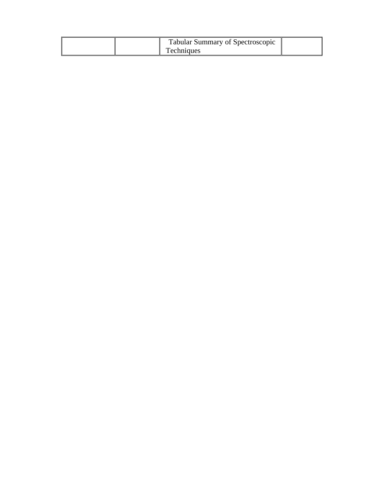|  | <b>Tabular Summary of Spectroscopic</b> |  |
|--|-----------------------------------------|--|
|  | <b>Techniques</b>                       |  |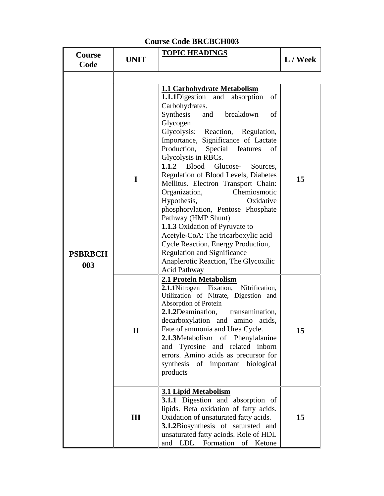| Course<br>Code        | <b>UNIT</b>  | <b>TOPIC HEADINGS</b>                                                                                                                                                                                                                                                                                                                                                                                                                                                                                                                                                                                                                                                                                                                                                    | L / Week |
|-----------------------|--------------|--------------------------------------------------------------------------------------------------------------------------------------------------------------------------------------------------------------------------------------------------------------------------------------------------------------------------------------------------------------------------------------------------------------------------------------------------------------------------------------------------------------------------------------------------------------------------------------------------------------------------------------------------------------------------------------------------------------------------------------------------------------------------|----------|
|                       |              |                                                                                                                                                                                                                                                                                                                                                                                                                                                                                                                                                                                                                                                                                                                                                                          |          |
| <b>PSBRBCH</b><br>003 | I            | 1.1 Carbohydrate Metabolism<br><b>1.1.1</b> Digestion and absorption<br>of<br>Carbohydrates.<br>Synthesis<br>breakdown<br>and<br>of<br>Glycogen<br>Glycolysis: Reaction, Regulation,<br>Importance, Significance of Lactate<br>Production, Special features<br>of<br>Glycolysis in RBCs.<br>1.1.2<br><b>Blood</b><br>Glucose-<br>Sources,<br>Regulation of Blood Levels, Diabetes<br>Mellitus. Electron Transport Chain:<br>Chemiosmotic<br>Organization,<br>Hypothesis,<br>Oxidative<br>phosphorylation, Pentose Phosphate<br>Pathway (HMP Shunt)<br><b>1.1.3</b> Oxidation of Pyruvate to<br>Acetyle-CoA: The tricarboxylic acid<br>Cycle Reaction, Energy Production,<br>Regulation and Significance –<br>Anaplerotic Reaction, The Glycoxilic<br><b>Acid Pathway</b> | 15       |
|                       | $\mathbf{I}$ | 2.1 Protein Metabolism<br>2.1.1Nitrogen Fixation, Nitrification,<br>Utilization of Nitrate, Digestion and<br>Absorption of Protein<br>2.1.2Deamination, transamination,<br>decarboxylation and amino acids,<br>Fate of ammonia and Urea Cycle.<br>2.1.3Metabolism of Phenylalanine<br>and Tyrosine and related inborn<br>errors. Amino acids as precursor for<br>synthesis of important biological<br>products                                                                                                                                                                                                                                                                                                                                                           | 15       |
|                       | III          | <b>3.1 Lipid Metabolism</b><br><b>3.1.1</b> Digestion and absorption of<br>lipids. Beta oxidation of fatty acids.<br>Oxidation of unsaturated fatty acids.<br>3.1.2Biosynthesis of saturated and<br>unsaturated fatty aciods. Role of HDL<br>and LDL. Formation of Ketone                                                                                                                                                                                                                                                                                                                                                                                                                                                                                                | 15       |

## **Course Code BRCBCH003**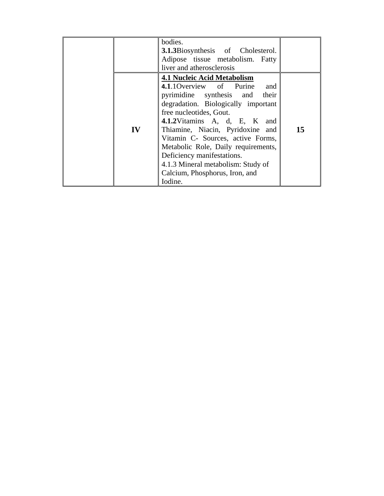|    | bodies.<br><b>3.1.3</b> Biosynthesis of Cholesterol.<br>Adipose tissue metabolism. Fatty<br>liver and atherosclerosis                                                                                                                                                                                                                                                                                                                   |    |
|----|-----------------------------------------------------------------------------------------------------------------------------------------------------------------------------------------------------------------------------------------------------------------------------------------------------------------------------------------------------------------------------------------------------------------------------------------|----|
| IV | <b>4.1 Nucleic Acid Metabolism</b><br>4.1.10 verview of Purine and<br>pyrimidine synthesis and their<br>degradation. Biologically important<br>free nucleotides, Gout.<br>4.1.2Vitamins A, d, E, K and<br>Thiamine, Niacin, Pyridoxine and<br>Vitamin C- Sources, active Forms,<br>Metabolic Role, Daily requirements,<br>Deficiency manifestations.<br>4.1.3 Mineral metabolism: Study of<br>Calcium, Phosphorus, Iron, and<br>Iodine. | 15 |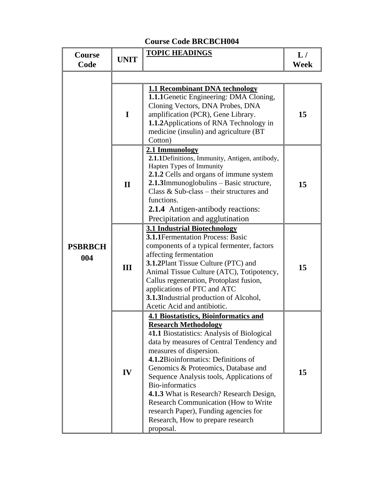## **Course Code BRCBCH004**

| <b>Course</b><br>Code | <b>UNIT</b>  | <b>TOPIC HEADINGS</b>                                                                                                                                                                                                                                                                                                                                                                                                                                                                                                                      | L/<br><b>Week</b> |
|-----------------------|--------------|--------------------------------------------------------------------------------------------------------------------------------------------------------------------------------------------------------------------------------------------------------------------------------------------------------------------------------------------------------------------------------------------------------------------------------------------------------------------------------------------------------------------------------------------|-------------------|
|                       |              |                                                                                                                                                                                                                                                                                                                                                                                                                                                                                                                                            |                   |
| <b>PSBRBCH</b><br>004 | $\mathbf I$  | <b>1.1 Recombinant DNA technology</b><br><b>1.1.1</b> Genetic Engineering: DMA Cloning,<br>Cloning Vectors, DNA Probes, DNA<br>amplification (PCR), Gene Library.<br>1.1.2 Applications of RNA Technology in<br>medicine (insulin) and agriculture (BT<br>Cotton)                                                                                                                                                                                                                                                                          | 15                |
|                       | $\mathbf{I}$ | 2.1 Immunology<br>2.1.1Definitions, Immunity, Antigen, antibody,<br>Hapten Types of Immunity<br>2.1.2 Cells and organs of immune system<br>2.1.3Immunoglobulins - Basic structure,<br>Class $&$ Sub-class – their structures and<br>functions.<br><b>2.1.4</b> Antigen-antibody reactions:<br>Precipitation and agglutination                                                                                                                                                                                                              | 15                |
|                       | Ш            | <b>3.1 Industrial Biotechnology</b><br><b>3.1.1</b> Fermentation Process: Basic<br>components of a typical fermenter, factors<br>affecting fermentation<br><b>3.1.2Plant Tissue Culture (PTC) and</b><br>Animal Tissue Culture (ATC), Totipotency,<br>Callus regeneration, Protoplast fusion,<br>applications of PTC and ATC<br>3.1.3Industrial production of Alcohol,<br>Acetic Acid and antibiotic.                                                                                                                                      | 15                |
|                       | IV           | <b>4.1 Biostatistics, Bioinformatics and</b><br><b>Research Methodology</b><br>41.1 Biostatistics: Analysis of Biological<br>data by measures of Central Tendency and<br>measures of dispersion.<br>4.1.2Bioinformatics: Definitions of<br>Genomics & Proteomics, Database and<br>Sequence Analysis tools, Applications of<br><b>Bio-informatics</b><br>4.1.3 What is Research? Research Design,<br><b>Research Communication (How to Write</b><br>research Paper), Funding agencies for<br>Research, How to prepare research<br>proposal. | 15                |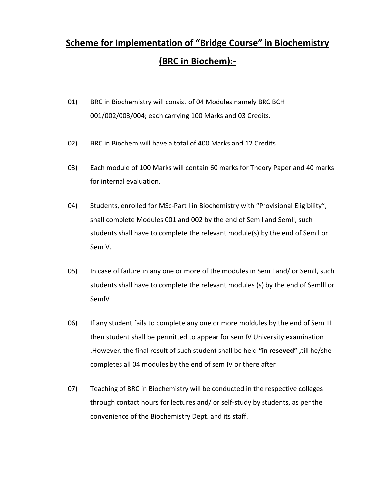# **Scheme for Implementation of "Bridge Course" in Biochemistry (BRC in Biochem):-**

- 01) BRC in Biochemistry will consist of 04 Modules namely BRC BCH 001/002/003/004; each carrying 100 Marks and 03 Credits.
- 02) BRC in Biochem will have a total of 400 Marks and 12 Credits
- 03) Each module of 100 Marks will contain 60 marks for Theory Paper and 40 marks for internal evaluation.
- 04) Students, enrolled for MSc-Part I in Biochemistry with "Provisional Eligibility", shall complete Modules 001 and 002 by the end of Sem l and Semll, such students shall have to complete the relevant module(s) by the end of Sem l or Sem V.
- 05) In case of failure in any one or more of the modules in Sem l and/ or Semll, such students shall have to complete the relevant modules (s) by the end of Semlll or SemlV
- 06) If any student fails to complete any one or more moldules by the end of Sem III then student shall be permitted to appear for sem IV University examination .However, the final result of such student shall be held **"in reseved" ,**till he/she completes all 04 modules by the end of sem IV or there after
- 07) Teaching of BRC in Biochemistry will be conducted in the respective colleges through contact hours for lectures and/ or self-study by students, as per the convenience of the Biochemistry Dept. and its staff.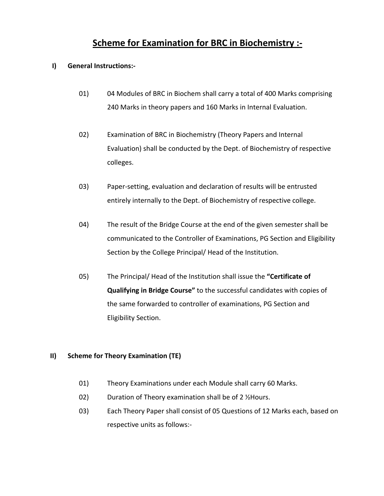# **Scheme for Examination for BRC in Biochemistry :-**

### **I) General Instructions:-**

- 01) 04 Modules of BRC in Biochem shall carry a total of 400 Marks comprising 240 Marks in theory papers and 160 Marks in Internal Evaluation.
- 02) Examination of BRC in Biochemistry (Theory Papers and Internal Evaluation) shall be conducted by the Dept. of Biochemistry of respective colleges.
- 03) Paper-setting, evaluation and declaration of results will be entrusted entirely internally to the Dept. of Biochemistry of respective college.
- 04) The result of the Bridge Course at the end of the given semester shall be communicated to the Controller of Examinations, PG Section and Eligibility Section by the College Principal/ Head of the Institution.
- 05) The Principal/ Head of the Institution shall issue the **"Certificate of Qualifying in Bridge Course"** to the successful candidates with copies of the same forwarded to controller of examinations, PG Section and Eligibility Section.

### **II) Scheme for Theory Examination (TE)**

- 01) Theory Examinations under each Module shall carry 60 Marks.
- 02) Duration of Theory examination shall be of 2 %Hours.
- 03) Each Theory Paper shall consist of 05 Questions of 12 Marks each, based on respective units as follows:-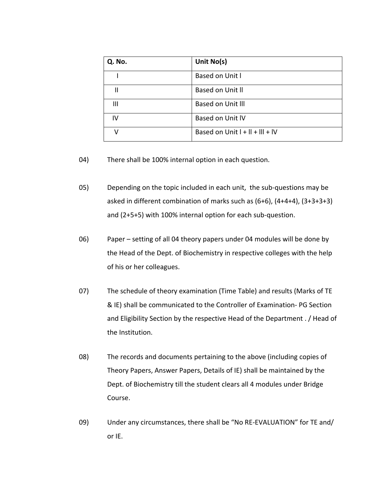| Q. No. | Unit No(s)                        |
|--------|-----------------------------------|
|        | Based on Unit I                   |
| Н      | Based on Unit II                  |
| Ш      | <b>Based on Unit III</b>          |
| IV     | Based on Unit IV                  |
| v      | Based on Unit $I + II + III + IV$ |

04) There shall be 100% internal option in each question.

05) Depending on the topic included in each unit, the sub-questions may be asked in different combination of marks such as (6+6), (4+4+4), (3+3+3+3) and (2+5+5) with 100% internal option for each sub-question.

06) Paper – setting of all 04 theory papers under 04 modules will be done by the Head of the Dept. of Biochemistry in respective colleges with the help of his or her colleagues.

07) The schedule of theory examination (Time Table) and results (Marks of TE & IE) shall be communicated to the Controller of Examination- PG Section and Eligibility Section by the respective Head of the Department . / Head of the Institution.

08) The records and documents pertaining to the above (including copies of Theory Papers, Answer Papers, Details of IE) shall be maintained by the Dept. of Biochemistry till the student clears all 4 modules under Bridge Course.

09) Under any circumstances, there shall be "No RE-EVALUATION" for TE and/ or IE.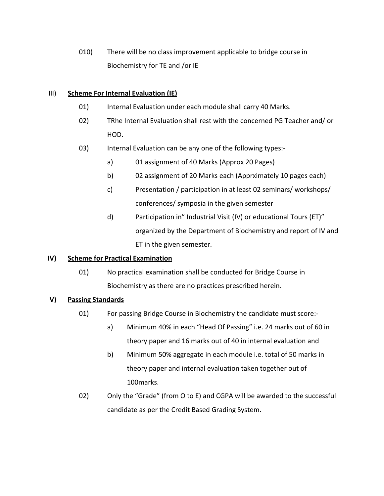010) There will be no class improvement applicable to bridge course in Biochemistry for TE and /or IE

### III) **Scheme For Internal Evaluation (IE)**

- 01) Internal Evaluation under each module shall carry 40 Marks.
- 02) TRhe Internal Evaluation shall rest with the concerned PG Teacher and/ or HOD.
- 03) Internal Evaluation can be any one of the following types:
	- a) 01 assignment of 40 Marks (Approx 20 Pages)
	- b) 02 assignment of 20 Marks each (Apprximately 10 pages each)
	- c) Presentation / participation in at least 02 seminars/ workshops/ conferences/ symposia in the given semester
	- d) Participation in" Industrial Visit (IV) or educational Tours (ET)" organized by the Department of Biochemistry and report of IV and ET in the given semester.

### **IV) Scheme for Practical Examination**

01) No practical examination shall be conducted for Bridge Course in Biochemistry as there are no practices prescribed herein.

### **V) Passing Standards**

- 01) For passing Bridge Course in Biochemistry the candidate must score:
	- a) Minimum 40% in each "Head Of Passing" i.e. 24 marks out of 60 in theory paper and 16 marks out of 40 in internal evaluation and
	- b) Minimum 50% aggregate in each module i.e. total of 50 marks in theory paper and internal evaluation taken together out of 100marks.
- 02) Only the "Grade" (from O to E) and CGPA will be awarded to the successful candidate as per the Credit Based Grading System.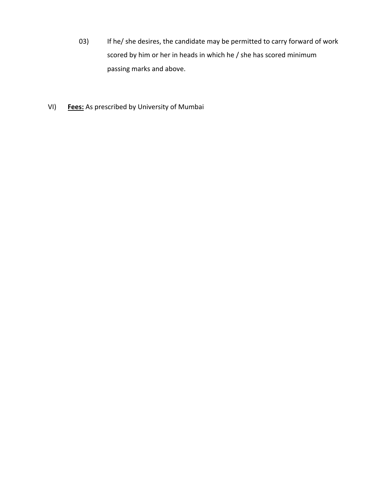- 03) If he/ she desires, the candidate may be permitted to carry forward of work scored by him or her in heads in which he / she has scored minimum passing marks and above.
- VI) **Fees:** As prescribed by University of Mumbai